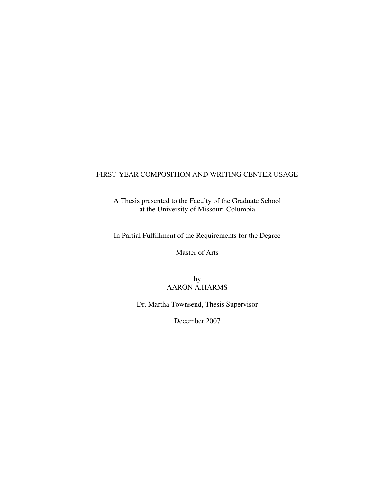## FIRST-YEAR COMPOSITION AND WRITING CENTER USAGE

A Thesis presented to the Faculty of the Graduate School at the University of Missouri-Columbia

In Partial Fulfillment of the Requirements for the Degree

Master of Arts

by AARON A.HARMS

Dr. Martha Townsend, Thesis Supervisor

December 2007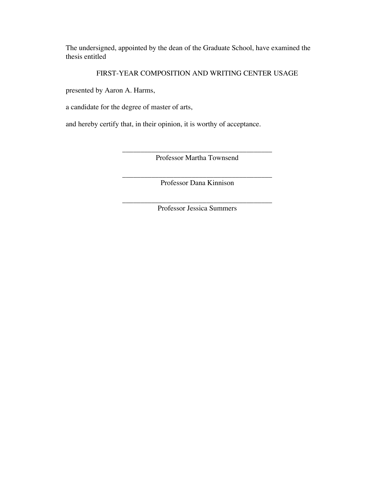The undersigned, appointed by the dean of the Graduate School, have examined the thesis entitled

### FIRST-YEAR COMPOSITION AND WRITING CENTER USAGE

presented by Aaron A. Harms,

a candidate for the degree of master of arts,

and hereby certify that, in their opinion, it is worthy of acceptance.

\_\_\_\_\_\_\_\_\_\_\_\_\_\_\_\_\_\_\_\_\_\_\_\_\_\_\_\_\_\_\_\_\_\_\_\_\_\_\_\_\_ Professor Martha Townsend

\_\_\_\_\_\_\_\_\_\_\_\_\_\_\_\_\_\_\_\_\_\_\_\_\_\_\_\_\_\_\_\_\_\_\_\_\_\_\_\_\_ Professor Dana Kinnison

\_\_\_\_\_\_\_\_\_\_\_\_\_\_\_\_\_\_\_\_\_\_\_\_\_\_\_\_\_\_\_\_\_\_\_\_\_\_\_\_\_ Professor Jessica Summers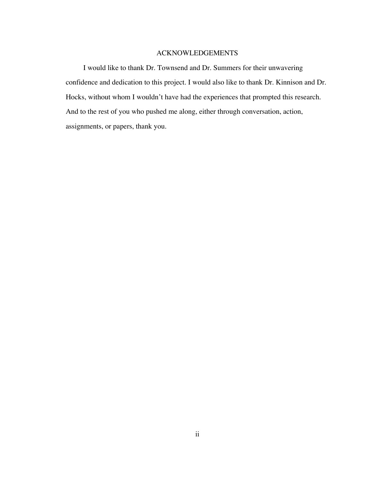#### ACKNOWLEDGEMENTS

I would like to thank Dr. Townsend and Dr. Summers for their unwavering confidence and dedication to this project. I would also like to thank Dr. Kinnison and Dr. Hocks, without whom I wouldn't have had the experiences that prompted this research. And to the rest of you who pushed me along, either through conversation, action, assignments, or papers, thank you.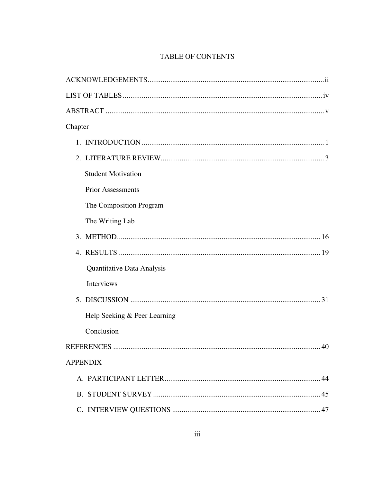# TABLE OF CONTENTS

| Chapter                      |
|------------------------------|
|                              |
|                              |
| <b>Student Motivation</b>    |
| <b>Prior Assessments</b>     |
| The Composition Program      |
| The Writing Lab              |
|                              |
| $4_{\cdot}$                  |
| Quantitative Data Analysis   |
| Interviews                   |
|                              |
| Help Seeking & Peer Learning |
| Conclusion                   |
| REFERENCES<br>40             |
| <b>APPENDIX</b>              |
|                              |
|                              |
|                              |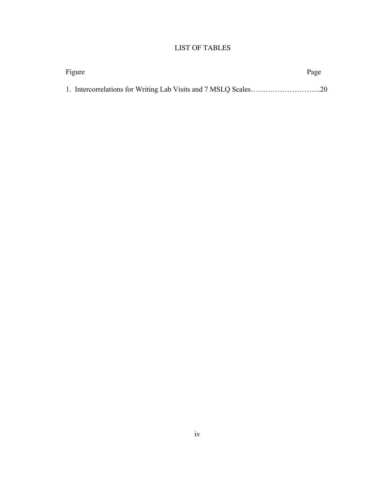# LIST OF TABLES

| Figure | Page |
|--------|------|
|        |      |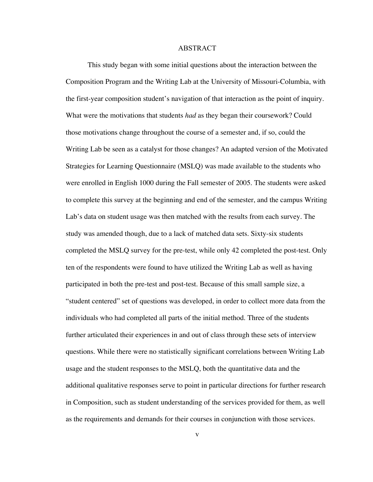#### ABSTRACT

This study began with some initial questions about the interaction between the Composition Program and the Writing Lab at the University of Missouri-Columbia, with the first-year composition student's navigation of that interaction as the point of inquiry. What were the motivations that students *had* as they began their coursework? Could those motivations change throughout the course of a semester and, if so, could the Writing Lab be seen as a catalyst for those changes? An adapted version of the Motivated Strategies for Learning Questionnaire (MSLQ) was made available to the students who were enrolled in English 1000 during the Fall semester of 2005. The students were asked to complete this survey at the beginning and end of the semester, and the campus Writing Lab's data on student usage was then matched with the results from each survey. The study was amended though, due to a lack of matched data sets. Sixty-six students completed the MSLQ survey for the pre-test, while only 42 completed the post-test. Only ten of the respondents were found to have utilized the Writing Lab as well as having participated in both the pre-test and post-test. Because of this small sample size, a "student centered" set of questions was developed, in order to collect more data from the individuals who had completed all parts of the initial method. Three of the students further articulated their experiences in and out of class through these sets of interview questions. While there were no statistically significant correlations between Writing Lab usage and the student responses to the MSLQ, both the quantitative data and the additional qualitative responses serve to point in particular directions for further research in Composition, such as student understanding of the services provided for them, as well as the requirements and demands for their courses in conjunction with those services.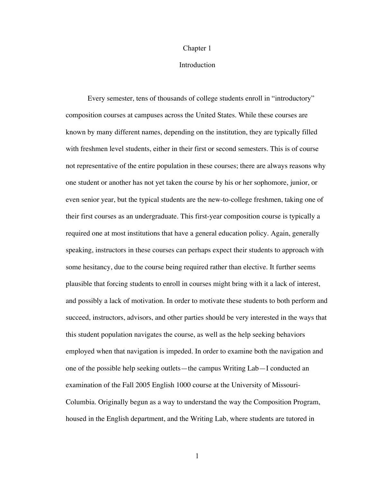#### Chapter 1

#### Introduction

Every semester, tens of thousands of college students enroll in "introductory" composition courses at campuses across the United States. While these courses are known by many different names, depending on the institution, they are typically filled with freshmen level students, either in their first or second semesters. This is of course not representative of the entire population in these courses; there are always reasons why one student or another has not yet taken the course by his or her sophomore, junior, or even senior year, but the typical students are the new-to-college freshmen, taking one of their first courses as an undergraduate. This first-year composition course is typically a required one at most institutions that have a general education policy. Again, generally speaking, instructors in these courses can perhaps expect their students to approach with some hesitancy, due to the course being required rather than elective. It further seems plausible that forcing students to enroll in courses might bring with it a lack of interest, and possibly a lack of motivation. In order to motivate these students to both perform and succeed, instructors, advisors, and other parties should be very interested in the ways that this student population navigates the course, as well as the help seeking behaviors employed when that navigation is impeded. In order to examine both the navigation and one of the possible help seeking outlets—the campus Writing Lab—I conducted an examination of the Fall 2005 English 1000 course at the University of Missouri-Columbia. Originally begun as a way to understand the way the Composition Program, housed in the English department, and the Writing Lab, where students are tutored in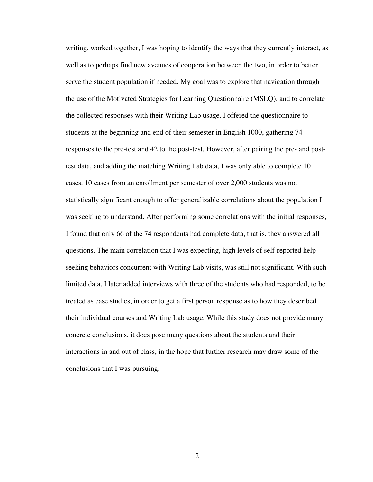writing, worked together, I was hoping to identify the ways that they currently interact, as well as to perhaps find new avenues of cooperation between the two, in order to better serve the student population if needed. My goal was to explore that navigation through the use of the Motivated Strategies for Learning Questionnaire (MSLQ), and to correlate the collected responses with their Writing Lab usage. I offered the questionnaire to students at the beginning and end of their semester in English 1000, gathering 74 responses to the pre-test and 42 to the post-test. However, after pairing the pre- and posttest data, and adding the matching Writing Lab data, I was only able to complete 10 cases. 10 cases from an enrollment per semester of over 2,000 students was not statistically significant enough to offer generalizable correlations about the population I was seeking to understand. After performing some correlations with the initial responses, I found that only 66 of the 74 respondents had complete data, that is, they answered all questions. The main correlation that I was expecting, high levels of self-reported help seeking behaviors concurrent with Writing Lab visits, was still not significant. With such limited data, I later added interviews with three of the students who had responded, to be treated as case studies, in order to get a first person response as to how they described their individual courses and Writing Lab usage. While this study does not provide many concrete conclusions, it does pose many questions about the students and their interactions in and out of class, in the hope that further research may draw some of the conclusions that I was pursuing.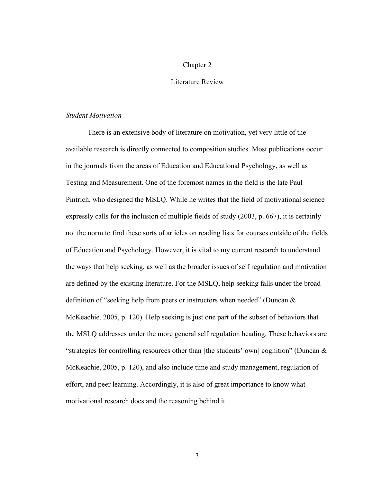### Chapter 2

#### Literature Review

#### *Student Motivation*

There is an extensive body of literature on motivation, yet very little of the available research is directly connected to composition studies. Most publications occur in the journals from the areas of Education and Educational Psychology, as well as Testing and Measurement. One of the foremost names in the field is the late Paul Pintrich, who designed the MSLQ. While he writes that the field of motivational science expressly calls for the inclusion of multiple fields of study (2003, p. 667), it is certainly not the norm to find these sorts of articles on reading lists for courses outside of the fields of Education and Psychology. However, it is vital to my current research to understand the ways that help seeking, as well as the broader issues of self regulation and motivation are defined by the existing literature. For the MSLQ, help seeking falls under the broad definition of "seeking help from peers or instructors when needed" (Duncan & McKeachie, 2005, p. 120). Help seeking is just one part of the subset of behaviors that the MSLQ addresses under the more general self regulation heading. These behaviors are "strategies for controlling resources other than [the students' own] cognition" (Duncan  $\&$ McKeachie, 2005, p. 120), and also include time and study management, regulation of effort, and peer learning. Accordingly, it is also of great importance to know what motivational research does and the reasoning behind it.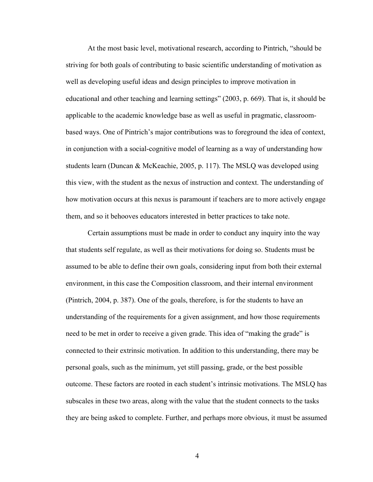At the most basic level, motivational research, according to Pintrich, "should be striving for both goals of contributing to basic scientific understanding of motivation as well as developing useful ideas and design principles to improve motivation in educational and other teaching and learning settings" (2003, p. 669). That is, it should be applicable to the academic knowledge base as well as useful in pragmatic, classroombased ways. One of Pintrich's major contributions was to foreground the idea of context, in conjunction with a social-cognitive model of learning as a way of understanding how students learn (Duncan & McKeachie, 2005, p. 117). The MSLQ was developed using this view, with the student as the nexus of instruction and context. The understanding of how motivation occurs at this nexus is paramount if teachers are to more actively engage them, and so it behooves educators interested in better practices to take note.

Certain assumptions must be made in order to conduct any inquiry into the way that students self regulate, as well as their motivations for doing so. Students must be assumed to be able to define their own goals, considering input from both their external environment, in this case the Composition classroom, and their internal environment (Pintrich, 2004, p. 387). One of the goals, therefore, is for the students to have an understanding of the requirements for a given assignment, and how those requirements need to be met in order to receive a given grade. This idea of "making the grade" is connected to their extrinsic motivation. In addition to this understanding, there may be personal goals, such as the minimum, yet still passing, grade, or the best possible outcome. These factors are rooted in each student's intrinsic motivations. The MSLQ has subscales in these two areas, along with the value that the student connects to the tasks they are being asked to complete. Further, and perhaps more obvious, it must be assumed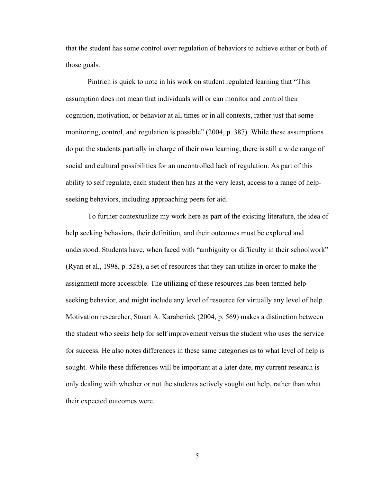that the student has some control over regulation of behaviors to achieve either or both of those goals.

Pintrich is quick to note in his work on student regulated learning that "This assumption does not mean that individuals will or can monitor and control their cognition, motivation, or behavior at all times or in all contexts, rather just that some monitoring, control, and regulation is possible" (2004, p. 387). While these assumptions do put the students partially in charge of their own learning, there is still a wide range of social and cultural possibilities for an uncontrolled lack of regulation. As part of this ability to self regulate, each student then has at the very least, access to a range of helpseeking behaviors, including approaching peers for aid.

To further contextualize my work here as part of the existing literature, the idea of help seeking behaviors, their definition, and their outcomes must be explored and understood. Students have, when faced with "ambiguity or difficulty in their schoolwork" (Ryan et al., 1998, p. 528), a set of resources that they can utilize in order to make the assignment more accessible. The utilizing of these resources has been termed helpseeking behavior, and might include any level of resource for virtually any level of help. Motivation researcher, Stuart A. Karabenick (2004, p. 569) makes a distinction between the student who seeks help for self improvement versus the student who uses the service for success. He also notes differences in these same categories as to what level of help is sought. While these differences will be important at a later date, my current research is only dealing with whether or not the students actively sought out help, rather than what their expected outcomes were.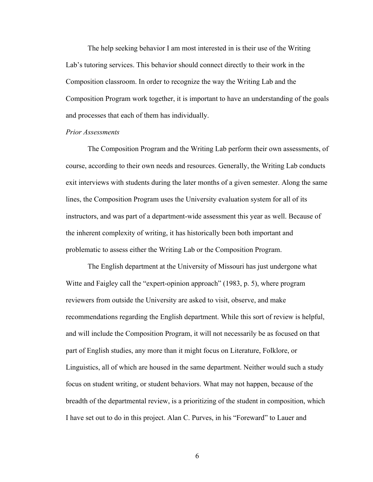The help seeking behavior I am most interested in is their use of the Writing Lab's tutoring services. This behavior should connect directly to their work in the Composition classroom. In order to recognize the way the Writing Lab and the Composition Program work together, it is important to have an understanding of the goals and processes that each of them has individually.

#### *Prior Assessments*

The Composition Program and the Writing Lab perform their own assessments, of course, according to their own needs and resources. Generally, the Writing Lab conducts exit interviews with students during the later months of a given semester. Along the same lines, the Composition Program uses the University evaluation system for all of its instructors, and was part of a department-wide assessment this year as well. Because of the inherent complexity of writing, it has historically been both important and problematic to assess either the Writing Lab or the Composition Program.

The English department at the University of Missouri has just undergone what Witte and Faigley call the "expert-opinion approach" (1983, p. 5), where program reviewers from outside the University are asked to visit, observe, and make recommendations regarding the English department. While this sort of review is helpful, and will include the Composition Program, it will not necessarily be as focused on that part of English studies, any more than it might focus on Literature, Folklore, or Linguistics, all of which are housed in the same department. Neither would such a study focus on student writing, or student behaviors. What may not happen, because of the breadth of the departmental review, is a prioritizing of the student in composition, which I have set out to do in this project. Alan C. Purves, in his "Foreward" to Lauer and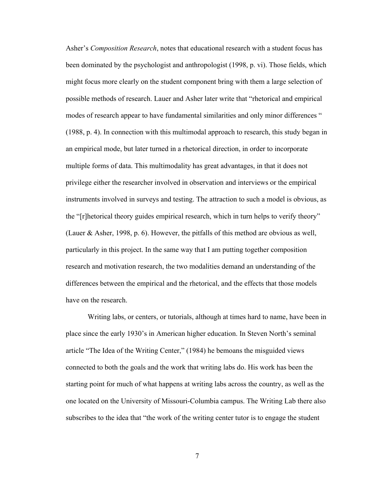Asher's *Composition Research*, notes that educational research with a student focus has been dominated by the psychologist and anthropologist (1998, p. vi). Those fields, which might focus more clearly on the student component bring with them a large selection of possible methods of research. Lauer and Asher later write that "rhetorical and empirical modes of research appear to have fundamental similarities and only minor differences " (1988, p. 4). In connection with this multimodal approach to research, this study began in an empirical mode, but later turned in a rhetorical direction, in order to incorporate multiple forms of data. This multimodality has great advantages, in that it does not privilege either the researcher involved in observation and interviews or the empirical instruments involved in surveys and testing. The attraction to such a model is obvious, as the "[r]hetorical theory guides empirical research, which in turn helps to verify theory" (Lauer & Asher, 1998, p. 6). However, the pitfalls of this method are obvious as well, particularly in this project. In the same way that I am putting together composition research and motivation research, the two modalities demand an understanding of the differences between the empirical and the rhetorical, and the effects that those models have on the research.

Writing labs, or centers, or tutorials, although at times hard to name, have been in place since the early 1930's in American higher education. In Steven North's seminal article "The Idea of the Writing Center," (1984) he bemoans the misguided views connected to both the goals and the work that writing labs do. His work has been the starting point for much of what happens at writing labs across the country, as well as the one located on the University of Missouri-Columbia campus. The Writing Lab there also subscribes to the idea that "the work of the writing center tutor is to engage the student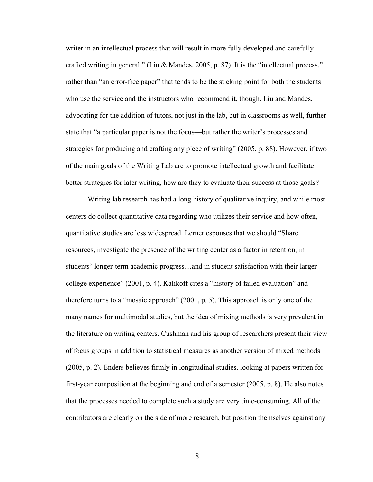writer in an intellectual process that will result in more fully developed and carefully crafted writing in general." (Liu & Mandes, 2005, p. 87) It is the "intellectual process," rather than "an error-free paper" that tends to be the sticking point for both the students who use the service and the instructors who recommend it, though. Liu and Mandes, advocating for the addition of tutors, not just in the lab, but in classrooms as well, further state that "a particular paper is not the focus—but rather the writer's processes and strategies for producing and crafting any piece of writing" (2005, p. 88). However, if two of the main goals of the Writing Lab are to promote intellectual growth and facilitate better strategies for later writing, how are they to evaluate their success at those goals?

Writing lab research has had a long history of qualitative inquiry, and while most centers do collect quantitative data regarding who utilizes their service and how often, quantitative studies are less widespread. Lerner espouses that we should "Share resources, investigate the presence of the writing center as a factor in retention, in students' longer-term academic progress…and in student satisfaction with their larger college experience" (2001, p. 4). Kalikoff cites a "history of failed evaluation" and therefore turns to a "mosaic approach" (2001, p. 5). This approach is only one of the many names for multimodal studies, but the idea of mixing methods is very prevalent in the literature on writing centers. Cushman and his group of researchers present their view of focus groups in addition to statistical measures as another version of mixed methods (2005, p. 2). Enders believes firmly in longitudinal studies, looking at papers written for first-year composition at the beginning and end of a semester (2005, p. 8). He also notes that the processes needed to complete such a study are very time-consuming. All of the contributors are clearly on the side of more research, but position themselves against any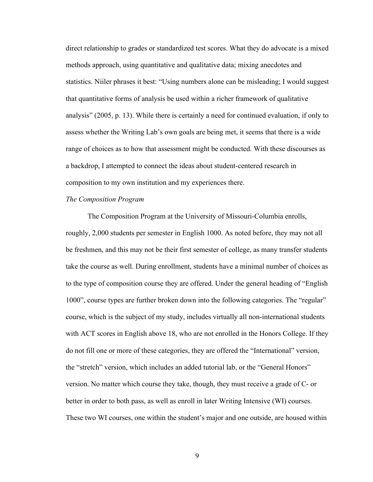direct relationship to grades or standardized test scores. What they do advocate is a mixed methods approach, using quantitative and qualitative data; mixing anecdotes and statistics. Niiler phrases it best: "Using numbers alone can be misleading; I would suggest that quantitative forms of analysis be used within a richer framework of qualitative analysis" (2005, p. 13). While there is certainly a need for continued evaluation, if only to assess whether the Writing Lab's own goals are being met, it seems that there is a wide range of choices as to how that assessment might be conducted. With these discourses as a backdrop, I attempted to connect the ideas about student-centered research in composition to my own institution and my experiences there.

#### *The Composition Program*

The Composition Program at the University of Missouri-Columbia enrolls, roughly, 2,000 students per semester in English 1000. As noted before, they may not all be freshmen, and this may not be their first semester of college, as many transfer students take the course as well. During enrollment, students have a minimal number of choices as to the type of composition course they are offered. Under the general heading of "English 1000", course types are further broken down into the following categories. The "regular" course, which is the subject of my study, includes virtually all non-international students with ACT scores in English above 18, who are not enrolled in the Honors College. If they do not fill one or more of these categories, they are offered the "International" version, the "stretch" version, which includes an added tutorial lab, or the "General Honors" version. No matter which course they take, though, they must receive a grade of C- or better in order to both pass, as well as enroll in later Writing Intensive (WI) courses. These two WI courses, one within the student's major and one outside, are housed within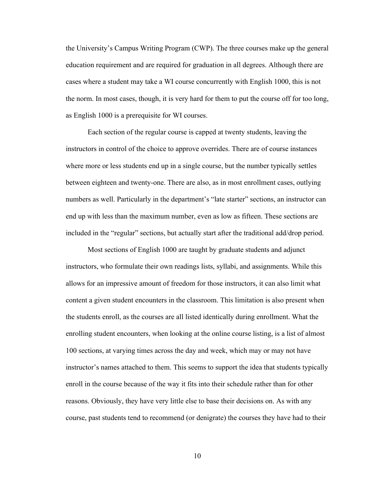the University's Campus Writing Program (CWP). The three courses make up the general education requirement and are required for graduation in all degrees. Although there are cases where a student may take a WI course concurrently with English 1000, this is not the norm. In most cases, though, it is very hard for them to put the course off for too long, as English 1000 is a prerequisite for WI courses.

Each section of the regular course is capped at twenty students, leaving the instructors in control of the choice to approve overrides. There are of course instances where more or less students end up in a single course, but the number typically settles between eighteen and twenty-one. There are also, as in most enrollment cases, outlying numbers as well. Particularly in the department's "late starter" sections, an instructor can end up with less than the maximum number, even as low as fifteen. These sections are included in the "regular" sections, but actually start after the traditional add/drop period.

Most sections of English 1000 are taught by graduate students and adjunct instructors, who formulate their own readings lists, syllabi, and assignments. While this allows for an impressive amount of freedom for those instructors, it can also limit what content a given student encounters in the classroom. This limitation is also present when the students enroll, as the courses are all listed identically during enrollment. What the enrolling student encounters, when looking at the online course listing, is a list of almost 100 sections, at varying times across the day and week, which may or may not have instructor's names attached to them. This seems to support the idea that students typically enroll in the course because of the way it fits into their schedule rather than for other reasons. Obviously, they have very little else to base their decisions on. As with any course, past students tend to recommend (or denigrate) the courses they have had to their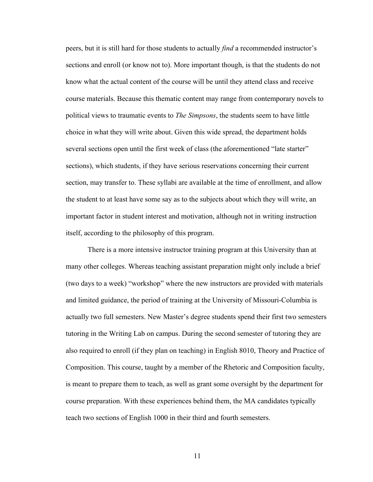peers, but it is still hard for those students to actually *find* a recommended instructor's sections and enroll (or know not to). More important though, is that the students do not know what the actual content of the course will be until they attend class and receive course materials. Because this thematic content may range from contemporary novels to political views to traumatic events to *The Simpsons*, the students seem to have little choice in what they will write about. Given this wide spread, the department holds several sections open until the first week of class (the aforementioned "late starter" sections), which students, if they have serious reservations concerning their current section, may transfer to. These syllabi are available at the time of enrollment, and allow the student to at least have some say as to the subjects about which they will write, an important factor in student interest and motivation, although not in writing instruction itself, according to the philosophy of this program.

There is a more intensive instructor training program at this University than at many other colleges. Whereas teaching assistant preparation might only include a brief (two days to a week) "workshop" where the new instructors are provided with materials and limited guidance, the period of training at the University of Missouri-Columbia is actually two full semesters. New Master's degree students spend their first two semesters tutoring in the Writing Lab on campus. During the second semester of tutoring they are also required to enroll (if they plan on teaching) in English 8010, Theory and Practice of Composition. This course, taught by a member of the Rhetoric and Composition faculty, is meant to prepare them to teach, as well as grant some oversight by the department for course preparation. With these experiences behind them, the MA candidates typically teach two sections of English 1000 in their third and fourth semesters.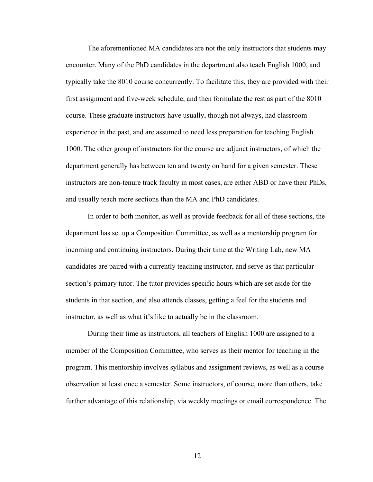The aforementioned MA candidates are not the only instructors that students may encounter. Many of the PhD candidates in the department also teach English 1000, and typically take the 8010 course concurrently. To facilitate this, they are provided with their first assignment and five-week schedule, and then formulate the rest as part of the 8010 course. These graduate instructors have usually, though not always, had classroom experience in the past, and are assumed to need less preparation for teaching English 1000. The other group of instructors for the course are adjunct instructors, of which the department generally has between ten and twenty on hand for a given semester. These instructors are non-tenure track faculty in most cases, are either ABD or have their PhDs, and usually teach more sections than the MA and PhD candidates.

In order to both monitor, as well as provide feedback for all of these sections, the department has set up a Composition Committee, as well as a mentorship program for incoming and continuing instructors. During their time at the Writing Lab, new MA candidates are paired with a currently teaching instructor, and serve as that particular section's primary tutor. The tutor provides specific hours which are set aside for the students in that section, and also attends classes, getting a feel for the students and instructor, as well as what it's like to actually be in the classroom.

During their time as instructors, all teachers of English 1000 are assigned to a member of the Composition Committee, who serves as their mentor for teaching in the program. This mentorship involves syllabus and assignment reviews, as well as a course observation at least once a semester. Some instructors, of course, more than others, take further advantage of this relationship, via weekly meetings or email correspondence. The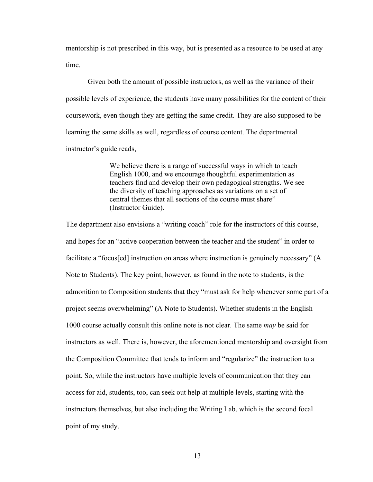mentorship is not prescribed in this way, but is presented as a resource to be used at any time.

Given both the amount of possible instructors, as well as the variance of their possible levels of experience, the students have many possibilities for the content of their coursework, even though they are getting the same credit. They are also supposed to be learning the same skills as well, regardless of course content. The departmental instructor's guide reads,

> We believe there is a range of successful ways in which to teach English 1000, and we encourage thoughtful experimentation as teachers find and develop their own pedagogical strengths. We see the diversity of teaching approaches as variations on a set of central themes that all sections of the course must share" (Instructor Guide).

The department also envisions a "writing coach" role for the instructors of this course, and hopes for an "active cooperation between the teacher and the student" in order to facilitate a "focus[ed] instruction on areas where instruction is genuinely necessary" (A Note to Students). The key point, however, as found in the note to students, is the admonition to Composition students that they "must ask for help whenever some part of a project seems overwhelming" (A Note to Students). Whether students in the English 1000 course actually consult this online note is not clear. The same *may* be said for instructors as well. There is, however, the aforementioned mentorship and oversight from the Composition Committee that tends to inform and "regularize" the instruction to a point. So, while the instructors have multiple levels of communication that they can access for aid, students, too, can seek out help at multiple levels, starting with the instructors themselves, but also including the Writing Lab, which is the second focal point of my study.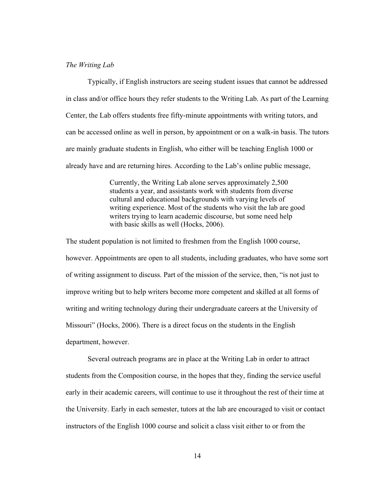#### *The Writing Lab*

Typically, if English instructors are seeing student issues that cannot be addressed in class and/or office hours they refer students to the Writing Lab. As part of the Learning Center, the Lab offers students free fifty-minute appointments with writing tutors, and can be accessed online as well in person, by appointment or on a walk-in basis. The tutors are mainly graduate students in English, who either will be teaching English 1000 or already have and are returning hires. According to the Lab's online public message,

> Currently, the Writing Lab alone serves approximately 2,500 students a year, and assistants work with students from diverse cultural and educational backgrounds with varying levels of writing experience. Most of the students who visit the lab are good writers trying to learn academic discourse, but some need help with basic skills as well (Hocks, 2006).

The student population is not limited to freshmen from the English 1000 course, however. Appointments are open to all students, including graduates, who have some sort of writing assignment to discuss. Part of the mission of the service, then, "is not just to improve writing but to help writers become more competent and skilled at all forms of writing and writing technology during their undergraduate careers at the University of Missouri" (Hocks, 2006). There is a direct focus on the students in the English department, however.

Several outreach programs are in place at the Writing Lab in order to attract students from the Composition course, in the hopes that they, finding the service useful early in their academic careers, will continue to use it throughout the rest of their time at the University. Early in each semester, tutors at the lab are encouraged to visit or contact instructors of the English 1000 course and solicit a class visit either to or from the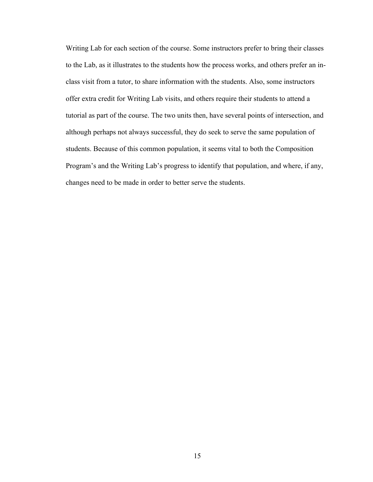Writing Lab for each section of the course. Some instructors prefer to bring their classes to the Lab, as it illustrates to the students how the process works, and others prefer an inclass visit from a tutor, to share information with the students. Also, some instructors offer extra credit for Writing Lab visits, and others require their students to attend a tutorial as part of the course. The two units then, have several points of intersection, and although perhaps not always successful, they do seek to serve the same population of students. Because of this common population, it seems vital to both the Composition Program's and the Writing Lab's progress to identify that population, and where, if any, changes need to be made in order to better serve the students.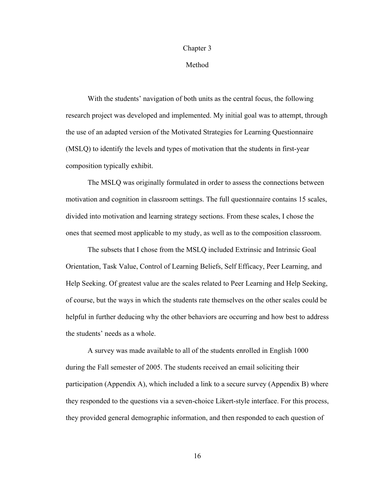#### Chapter 3

### Method

With the students' navigation of both units as the central focus, the following research project was developed and implemented. My initial goal was to attempt, through the use of an adapted version of the Motivated Strategies for Learning Questionnaire (MSLQ) to identify the levels and types of motivation that the students in first-year composition typically exhibit.

The MSLQ was originally formulated in order to assess the connections between motivation and cognition in classroom settings. The full questionnaire contains 15 scales, divided into motivation and learning strategy sections. From these scales, I chose the ones that seemed most applicable to my study, as well as to the composition classroom.

The subsets that I chose from the MSLQ included Extrinsic and Intrinsic Goal Orientation, Task Value, Control of Learning Beliefs, Self Efficacy, Peer Learning, and Help Seeking. Of greatest value are the scales related to Peer Learning and Help Seeking, of course, but the ways in which the students rate themselves on the other scales could be helpful in further deducing why the other behaviors are occurring and how best to address the students' needs as a whole.

A survey was made available to all of the students enrolled in English 1000 during the Fall semester of 2005. The students received an email soliciting their participation (Appendix A), which included a link to a secure survey (Appendix B) where they responded to the questions via a seven-choice Likert-style interface. For this process, they provided general demographic information, and then responded to each question of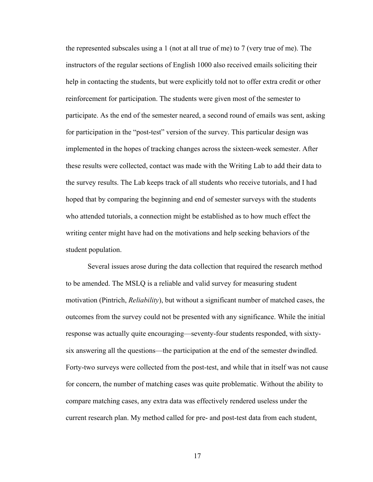the represented subscales using a 1 (not at all true of me) to 7 (very true of me). The instructors of the regular sections of English 1000 also received emails soliciting their help in contacting the students, but were explicitly told not to offer extra credit or other reinforcement for participation. The students were given most of the semester to participate. As the end of the semester neared, a second round of emails was sent, asking for participation in the "post-test" version of the survey. This particular design was implemented in the hopes of tracking changes across the sixteen-week semester. After these results were collected, contact was made with the Writing Lab to add their data to the survey results. The Lab keeps track of all students who receive tutorials, and I had hoped that by comparing the beginning and end of semester surveys with the students who attended tutorials, a connection might be established as to how much effect the writing center might have had on the motivations and help seeking behaviors of the student population.

Several issues arose during the data collection that required the research method to be amended. The MSLQ is a reliable and valid survey for measuring student motivation (Pintrich, *Reliability*), but without a significant number of matched cases, the outcomes from the survey could not be presented with any significance. While the initial response was actually quite encouraging—seventy-four students responded, with sixtysix answering all the questions—the participation at the end of the semester dwindled. Forty-two surveys were collected from the post-test, and while that in itself was not cause for concern, the number of matching cases was quite problematic. Without the ability to compare matching cases, any extra data was effectively rendered useless under the current research plan. My method called for pre- and post-test data from each student,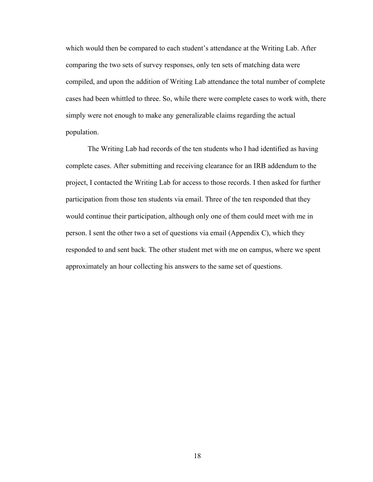which would then be compared to each student's attendance at the Writing Lab. After comparing the two sets of survey responses, only ten sets of matching data were compiled, and upon the addition of Writing Lab attendance the total number of complete cases had been whittled to three. So, while there were complete cases to work with, there simply were not enough to make any generalizable claims regarding the actual population.

The Writing Lab had records of the ten students who I had identified as having complete cases. After submitting and receiving clearance for an IRB addendum to the project, I contacted the Writing Lab for access to those records. I then asked for further participation from those ten students via email. Three of the ten responded that they would continue their participation, although only one of them could meet with me in person. I sent the other two a set of questions via email (Appendix C), which they responded to and sent back. The other student met with me on campus, where we spent approximately an hour collecting his answers to the same set of questions.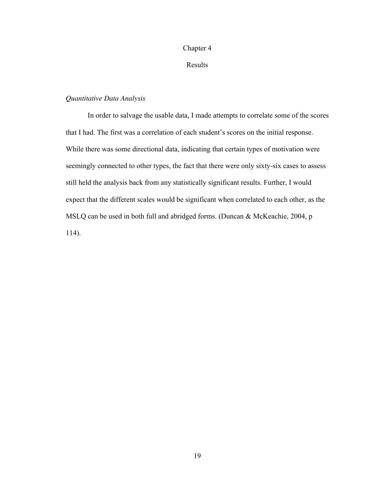#### Chapter 4

Results

### *Quantitative Data Analysis*

In order to salvage the usable data, I made attempts to correlate some of the scores that I had. The first was a correlation of each student's scores on the initial response. While there was some directional data, indicating that certain types of motivation were seemingly connected to other types, the fact that there were only sixty-six cases to assess still held the analysis back from any statistically significant results. Further, I would expect that the different scales would be significant when correlated to each other, as the MSLQ can be used in both full and abridged forms. (Duncan & McKeachie, 2004, p 114).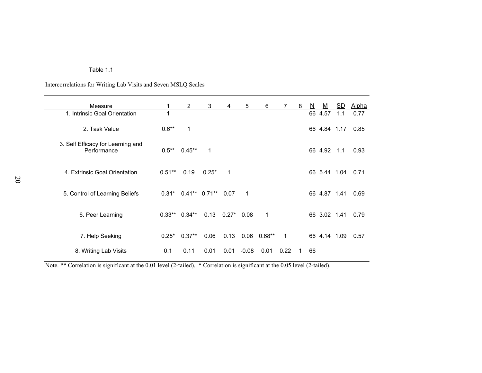| Table 1.1 |  |  |  |
|-----------|--|--|--|
|-----------|--|--|--|

Intercorrelations for Writing Lab Visits and Seven MSLQ Scales

| Measure                                          | 1        | 2              | 3                    | 4              | 5       | 6        | 7            | 8  | $\underline{\mathsf{N}}$ | <u>M</u>     | $\underline{\mathsf{SD}}$ | <u>Alpha</u> |
|--------------------------------------------------|----------|----------------|----------------------|----------------|---------|----------|--------------|----|--------------------------|--------------|---------------------------|--------------|
| 1. Intrinsic Goal Orientation                    | 1        |                |                      |                |         |          |              |    | 66                       | 4.57         | 1.1                       | 0.77         |
| 2. Task Value                                    | $0.6**$  | 1              |                      |                |         |          |              |    |                          | 66 4.84 1.17 |                           | 0.85         |
| 3. Self Efficacy for Learning and<br>Performance | $0.5***$ | $0.45***$      | 1                    |                |         |          |              |    |                          | 66 4.92      | 1.1                       | 0.93         |
| 4. Extrinsic Goal Orientation                    | $0.51**$ | 0.19           | $0.25*$              | 1              |         |          |              |    |                          | 66 5.44 1.04 |                           | 0.71         |
| 5. Control of Learning Beliefs                   | $0.31*$  |                | $0.41**$ 0.71** 0.07 |                | 1       |          |              |    |                          | 66 4.87 1.41 |                           | 0.69         |
| 6. Peer Learning                                 |          | $0.33**0.34**$ |                      | $0.13$ $0.27*$ | 0.08    | 1        |              |    |                          | 66 3.02 1.41 |                           | 0.79         |
| 7. Help Seeking                                  | $0.25*$  | $0.37**$       | 0.06                 | 0.13           | 0.06    | $0.68**$ | $\mathbf{1}$ |    |                          | 66 4.14 1.09 |                           | 0.57         |
| 8. Writing Lab Visits                            | 0.1      | 0.11           | 0.01                 | 0.01           | $-0.08$ | 0.01     | 0.22         | 1. | 66                       |              |                           |              |

Note. \*\* Correlation is significant at the 0.01 level (2-tailed). \* Correlation is significant at the 0.05 level (2-tailed).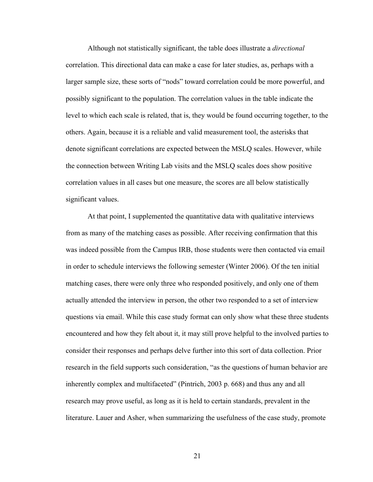Although not statistically significant, the table does illustrate a *directional* correlation. This directional data can make a case for later studies, as, perhaps with a larger sample size, these sorts of "nods" toward correlation could be more powerful, and possibly significant to the population. The correlation values in the table indicate the level to which each scale is related, that is, they would be found occurring together, to the others. Again, because it is a reliable and valid measurement tool, the asterisks that denote significant correlations are expected between the MSLQ scales. However, while the connection between Writing Lab visits and the MSLQ scales does show positive correlation values in all cases but one measure, the scores are all below statistically significant values.

At that point, I supplemented the quantitative data with qualitative interviews from as many of the matching cases as possible. After receiving confirmation that this was indeed possible from the Campus IRB, those students were then contacted via email in order to schedule interviews the following semester (Winter 2006). Of the ten initial matching cases, there were only three who responded positively, and only one of them actually attended the interview in person, the other two responded to a set of interview questions via email. While this case study format can only show what these three students encountered and how they felt about it, it may still prove helpful to the involved parties to consider their responses and perhaps delve further into this sort of data collection. Prior research in the field supports such consideration, "as the questions of human behavior are inherently complex and multifaceted" (Pintrich, 2003 p. 668) and thus any and all research may prove useful, as long as it is held to certain standards, prevalent in the literature. Lauer and Asher, when summarizing the usefulness of the case study, promote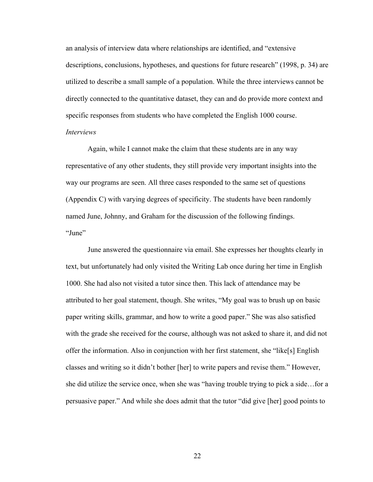an analysis of interview data where relationships are identified, and "extensive descriptions, conclusions, hypotheses, and questions for future research" (1998, p. 34) are utilized to describe a small sample of a population. While the three interviews cannot be directly connected to the quantitative dataset, they can and do provide more context and specific responses from students who have completed the English 1000 course. *Interviews*

Again, while I cannot make the claim that these students are in any way representative of any other students, they still provide very important insights into the way our programs are seen. All three cases responded to the same set of questions (Appendix C) with varying degrees of specificity. The students have been randomly named June, Johnny, and Graham for the discussion of the following findings. "June"

June answered the questionnaire via email. She expresses her thoughts clearly in text, but unfortunately had only visited the Writing Lab once during her time in English 1000. She had also not visited a tutor since then. This lack of attendance may be attributed to her goal statement, though. She writes, "My goal was to brush up on basic paper writing skills, grammar, and how to write a good paper." She was also satisfied with the grade she received for the course, although was not asked to share it, and did not offer the information. Also in conjunction with her first statement, she "like[s] English classes and writing so it didn't bother [her] to write papers and revise them." However, she did utilize the service once, when she was "having trouble trying to pick a side…for a persuasive paper." And while she does admit that the tutor "did give [her] good points to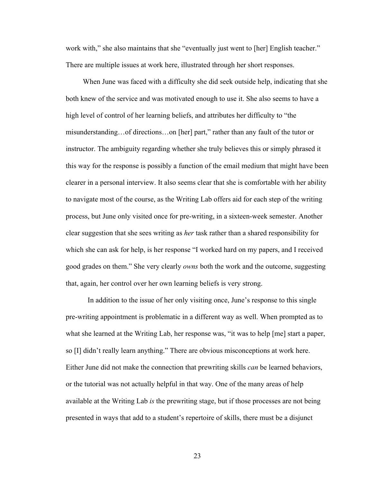work with," she also maintains that she "eventually just went to [her] English teacher." There are multiple issues at work here, illustrated through her short responses.

When June was faced with a difficulty she did seek outside help, indicating that she both knew of the service and was motivated enough to use it. She also seems to have a high level of control of her learning beliefs, and attributes her difficulty to "the misunderstanding…of directions…on [her] part," rather than any fault of the tutor or instructor. The ambiguity regarding whether she truly believes this or simply phrased it this way for the response is possibly a function of the email medium that might have been clearer in a personal interview. It also seems clear that she is comfortable with her ability to navigate most of the course, as the Writing Lab offers aid for each step of the writing process, but June only visited once for pre-writing, in a sixteen-week semester. Another clear suggestion that she sees writing as *her* task rather than a shared responsibility for which she can ask for help, is her response "I worked hard on my papers, and I received good grades on them." She very clearly *owns* both the work and the outcome, suggesting that, again, her control over her own learning beliefs is very strong.

In addition to the issue of her only visiting once, June's response to this single pre-writing appointment is problematic in a different way as well. When prompted as to what she learned at the Writing Lab, her response was, "it was to help [me] start a paper, so [I] didn't really learn anything." There are obvious misconceptions at work here. Either June did not make the connection that prewriting skills *can* be learned behaviors, or the tutorial was not actually helpful in that way. One of the many areas of help available at the Writing Lab *is* the prewriting stage, but if those processes are not being presented in ways that add to a student's repertoire of skills, there must be a disjunct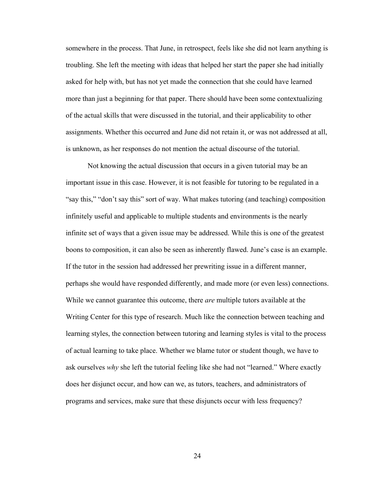somewhere in the process. That June, in retrospect, feels like she did not learn anything is troubling. She left the meeting with ideas that helped her start the paper she had initially asked for help with, but has not yet made the connection that she could have learned more than just a beginning for that paper. There should have been some contextualizing of the actual skills that were discussed in the tutorial, and their applicability to other assignments. Whether this occurred and June did not retain it, or was not addressed at all, is unknown, as her responses do not mention the actual discourse of the tutorial.

Not knowing the actual discussion that occurs in a given tutorial may be an important issue in this case. However, it is not feasible for tutoring to be regulated in a "say this," "don't say this" sort of way. What makes tutoring (and teaching) composition infinitely useful and applicable to multiple students and environments is the nearly infinite set of ways that a given issue may be addressed. While this is one of the greatest boons to composition, it can also be seen as inherently flawed. June's case is an example. If the tutor in the session had addressed her prewriting issue in a different manner, perhaps she would have responded differently, and made more (or even less) connections. While we cannot guarantee this outcome, there *are* multiple tutors available at the Writing Center for this type of research. Much like the connection between teaching and learning styles, the connection between tutoring and learning styles is vital to the process of actual learning to take place. Whether we blame tutor or student though, we have to ask ourselves *why* she left the tutorial feeling like she had not "learned." Where exactly does her disjunct occur, and how can we, as tutors, teachers, and administrators of programs and services, make sure that these disjuncts occur with less frequency?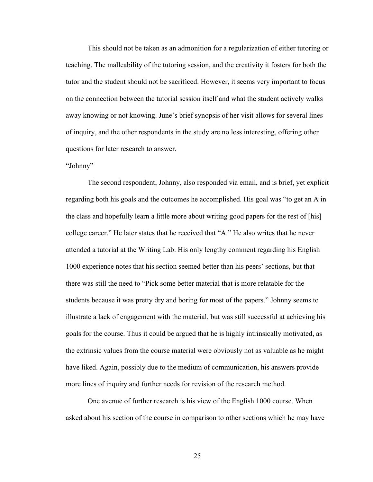This should not be taken as an admonition for a regularization of either tutoring or teaching. The malleability of the tutoring session, and the creativity it fosters for both the tutor and the student should not be sacrificed. However, it seems very important to focus on the connection between the tutorial session itself and what the student actively walks away knowing or not knowing. June's brief synopsis of her visit allows for several lines of inquiry, and the other respondents in the study are no less interesting, offering other questions for later research to answer.

#### "Johnny"

The second respondent, Johnny, also responded via email, and is brief, yet explicit regarding both his goals and the outcomes he accomplished. His goal was "to get an A in the class and hopefully learn a little more about writing good papers for the rest of [his] college career." He later states that he received that "A." He also writes that he never attended a tutorial at the Writing Lab. His only lengthy comment regarding his English 1000 experience notes that his section seemed better than his peers' sections, but that there was still the need to "Pick some better material that is more relatable for the students because it was pretty dry and boring for most of the papers." Johnny seems to illustrate a lack of engagement with the material, but was still successful at achieving his goals for the course. Thus it could be argued that he is highly intrinsically motivated, as the extrinsic values from the course material were obviously not as valuable as he might have liked. Again, possibly due to the medium of communication, his answers provide more lines of inquiry and further needs for revision of the research method.

One avenue of further research is his view of the English 1000 course. When asked about his section of the course in comparison to other sections which he may have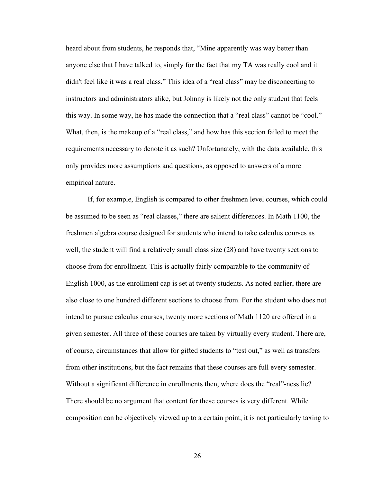heard about from students, he responds that, "Mine apparently was way better than anyone else that I have talked to, simply for the fact that my TA was really cool and it didn't feel like it was a real class." This idea of a "real class" may be disconcerting to instructors and administrators alike, but Johnny is likely not the only student that feels this way. In some way, he has made the connection that a "real class" cannot be "cool." What, then, is the makeup of a "real class," and how has this section failed to meet the requirements necessary to denote it as such? Unfortunately, with the data available, this only provides more assumptions and questions, as opposed to answers of a more empirical nature.

If, for example, English is compared to other freshmen level courses, which could be assumed to be seen as "real classes," there are salient differences. In Math 1100, the freshmen algebra course designed for students who intend to take calculus courses as well, the student will find a relatively small class size (28) and have twenty sections to choose from for enrollment. This is actually fairly comparable to the community of English 1000, as the enrollment cap is set at twenty students. As noted earlier, there are also close to one hundred different sections to choose from. For the student who does not intend to pursue calculus courses, twenty more sections of Math 1120 are offered in a given semester. All three of these courses are taken by virtually every student. There are, of course, circumstances that allow for gifted students to "test out," as well as transfers from other institutions, but the fact remains that these courses are full every semester. Without a significant difference in enrollments then, where does the "real"-ness lie? There should be no argument that content for these courses is very different. While composition can be objectively viewed up to a certain point, it is not particularly taxing to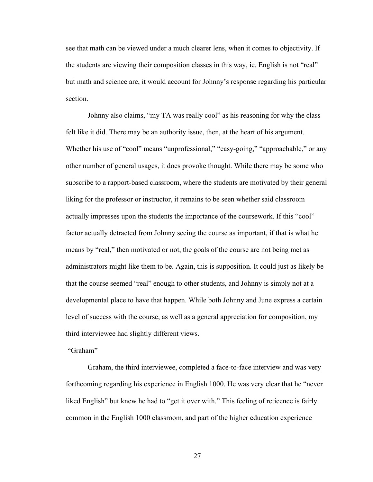see that math can be viewed under a much clearer lens, when it comes to objectivity. If the students are viewing their composition classes in this way, ie. English is not "real" but math and science are, it would account for Johnny's response regarding his particular section.

Johnny also claims, "my TA was really cool" as his reasoning for why the class felt like it did. There may be an authority issue, then, at the heart of his argument. Whether his use of "cool" means "unprofessional," "easy-going," "approachable," or any other number of general usages, it does provoke thought. While there may be some who subscribe to a rapport-based classroom, where the students are motivated by their general liking for the professor or instructor, it remains to be seen whether said classroom actually impresses upon the students the importance of the coursework. If this "cool" factor actually detracted from Johnny seeing the course as important, if that is what he means by "real," then motivated or not, the goals of the course are not being met as administrators might like them to be. Again, this is supposition. It could just as likely be that the course seemed "real" enough to other students, and Johnny is simply not at a developmental place to have that happen. While both Johnny and June express a certain level of success with the course, as well as a general appreciation for composition, my third interviewee had slightly different views.

"Graham"

Graham, the third interviewee, completed a face-to-face interview and was very forthcoming regarding his experience in English 1000. He was very clear that he "never liked English" but knew he had to "get it over with." This feeling of reticence is fairly common in the English 1000 classroom, and part of the higher education experience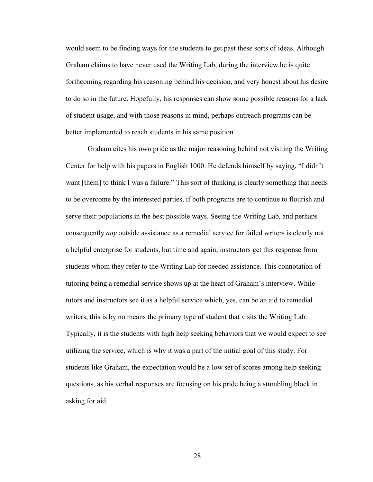would seem to be finding ways for the students to get past these sorts of ideas. Although Graham claims to have never used the Writing Lab, during the interview he is quite forthcoming regarding his reasoning behind his decision, and very honest about his desire to do so in the future. Hopefully, his responses can show some possible reasons for a lack of student usage, and with those reasons in mind, perhaps outreach programs can be better implemented to reach students in his same position.

Graham cites his own pride as the major reasoning behind not visiting the Writing Center for help with his papers in English 1000. He defends himself by saying, "I didn't want [them] to think I was a failure." This sort of thinking is clearly something that needs to be overcome by the interested parties, if both programs are to continue to flourish and serve their populations in the best possible ways. Seeing the Writing Lab, and perhaps consequently *any* outside assistance as a remedial service for failed writers is clearly not a helpful enterprise for students, but time and again, instructors get this response from students whom they refer to the Writing Lab for needed assistance. This connotation of tutoring being a remedial service shows up at the heart of Graham's interview. While tutors and instructors see it as a helpful service which, yes, can be an aid to remedial writers, this is by no means the primary type of student that visits the Writing Lab. Typically, it is the students with high help seeking behaviors that we would expect to see utilizing the service, which is why it was a part of the initial goal of this study. For students like Graham, the expectation would be a low set of scores among help seeking questions, as his verbal responses are focusing on his pride being a stumbling block in asking for aid.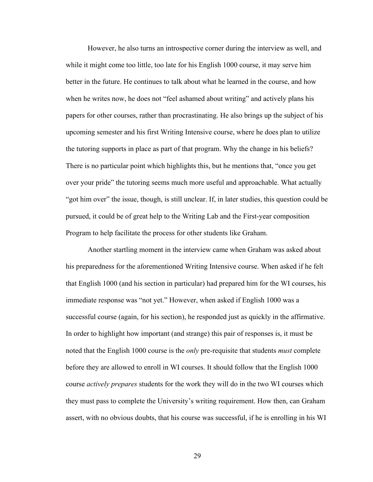However, he also turns an introspective corner during the interview as well, and while it might come too little, too late for his English 1000 course, it may serve him better in the future. He continues to talk about what he learned in the course, and how when he writes now, he does not "feel ashamed about writing" and actively plans his papers for other courses, rather than procrastinating. He also brings up the subject of his upcoming semester and his first Writing Intensive course, where he does plan to utilize the tutoring supports in place as part of that program. Why the change in his beliefs? There is no particular point which highlights this, but he mentions that, "once you get over your pride" the tutoring seems much more useful and approachable. What actually "got him over" the issue, though, is still unclear. If, in later studies, this question could be pursued, it could be of great help to the Writing Lab and the First-year composition Program to help facilitate the process for other students like Graham.

Another startling moment in the interview came when Graham was asked about his preparedness for the aforementioned Writing Intensive course. When asked if he felt that English 1000 (and his section in particular) had prepared him for the WI courses, his immediate response was "not yet." However, when asked if English 1000 was a successful course (again, for his section), he responded just as quickly in the affirmative. In order to highlight how important (and strange) this pair of responses is, it must be noted that the English 1000 course is the *only* pre-requisite that students *must* complete before they are allowed to enroll in WI courses. It should follow that the English 1000 course *actively prepares* students for the work they will do in the two WI courses which they must pass to complete the University's writing requirement. How then, can Graham assert, with no obvious doubts, that his course was successful, if he is enrolling in his WI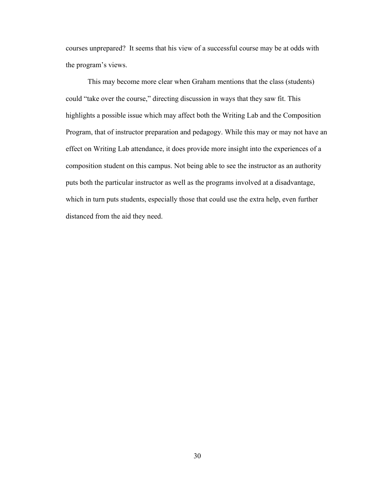courses unprepared? It seems that his view of a successful course may be at odds with the program's views.

This may become more clear when Graham mentions that the class (students) could "take over the course," directing discussion in ways that they saw fit. This highlights a possible issue which may affect both the Writing Lab and the Composition Program, that of instructor preparation and pedagogy. While this may or may not have an effect on Writing Lab attendance, it does provide more insight into the experiences of a composition student on this campus. Not being able to see the instructor as an authority puts both the particular instructor as well as the programs involved at a disadvantage, which in turn puts students, especially those that could use the extra help, even further distanced from the aid they need.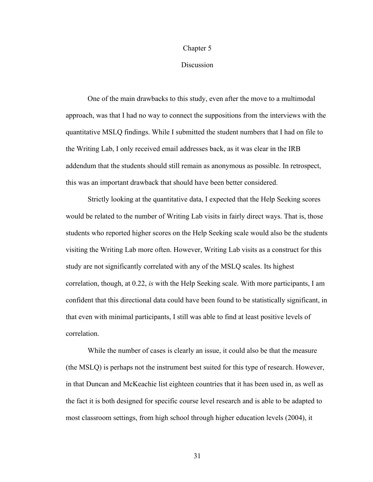#### Chapter 5

#### **Discussion**

One of the main drawbacks to this study, even after the move to a multimodal approach, was that I had no way to connect the suppositions from the interviews with the quantitative MSLQ findings. While I submitted the student numbers that I had on file to the Writing Lab, I only received email addresses back, as it was clear in the IRB addendum that the students should still remain as anonymous as possible. In retrospect, this was an important drawback that should have been better considered.

Strictly looking at the quantitative data, I expected that the Help Seeking scores would be related to the number of Writing Lab visits in fairly direct ways. That is, those students who reported higher scores on the Help Seeking scale would also be the students visiting the Writing Lab more often. However, Writing Lab visits as a construct for this study are not significantly correlated with any of the MSLQ scales. Its highest correlation, though, at 0.22, *is* with the Help Seeking scale. With more participants, I am confident that this directional data could have been found to be statistically significant, in that even with minimal participants, I still was able to find at least positive levels of correlation.

While the number of cases is clearly an issue, it could also be that the measure (the MSLQ) is perhaps not the instrument best suited for this type of research. However, in that Duncan and McKeachie list eighteen countries that it has been used in, as well as the fact it is both designed for specific course level research and is able to be adapted to most classroom settings, from high school through higher education levels (2004), it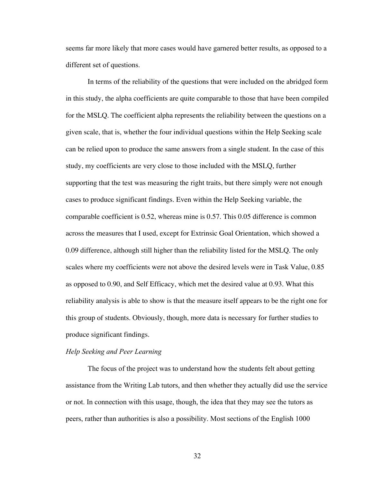seems far more likely that more cases would have garnered better results, as opposed to a different set of questions.

In terms of the reliability of the questions that were included on the abridged form in this study, the alpha coefficients are quite comparable to those that have been compiled for the MSLQ. The coefficient alpha represents the reliability between the questions on a given scale, that is, whether the four individual questions within the Help Seeking scale can be relied upon to produce the same answers from a single student. In the case of this study, my coefficients are very close to those included with the MSLQ, further supporting that the test was measuring the right traits, but there simply were not enough cases to produce significant findings. Even within the Help Seeking variable, the comparable coefficient is 0.52, whereas mine is 0.57. This 0.05 difference is common across the measures that I used, except for Extrinsic Goal Orientation, which showed a 0.09 difference, although still higher than the reliability listed for the MSLQ. The only scales where my coefficients were not above the desired levels were in Task Value, 0.85 as opposed to 0.90, and Self Efficacy, which met the desired value at 0.93. What this reliability analysis is able to show is that the measure itself appears to be the right one for this group of students. Obviously, though, more data is necessary for further studies to produce significant findings.

### *Help Seeking and Peer Learning*

The focus of the project was to understand how the students felt about getting assistance from the Writing Lab tutors, and then whether they actually did use the service or not. In connection with this usage, though, the idea that they may see the tutors as peers, rather than authorities is also a possibility. Most sections of the English 1000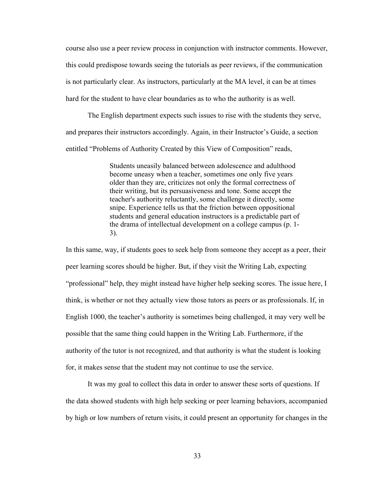course also use a peer review process in conjunction with instructor comments. However, this could predispose towards seeing the tutorials as peer reviews, if the communication is not particularly clear. As instructors, particularly at the MA level, it can be at times hard for the student to have clear boundaries as to who the authority is as well.

The English department expects such issues to rise with the students they serve, and prepares their instructors accordingly. Again, in their Instructor's Guide, a section entitled "Problems of Authority Created by this View of Composition" reads,

> Students uneasily balanced between adolescence and adulthood become uneasy when a teacher, sometimes one only five years older than they are, criticizes not only the formal correctness of their writing, but its persuasiveness and tone. Some accept the teacher's authority reluctantly, some challenge it directly, some snipe. Experience tells us that the friction between oppositional students and general education instructors is a predictable part of the drama of intellectual development on a college campus (p. 1- 3).

In this same, way, if students goes to seek help from someone they accept as a peer, their peer learning scores should be higher. But, if they visit the Writing Lab, expecting "professional" help, they might instead have higher help seeking scores. The issue here, I think, is whether or not they actually view those tutors as peers or as professionals. If, in English 1000, the teacher's authority is sometimes being challenged, it may very well be possible that the same thing could happen in the Writing Lab. Furthermore, if the authority of the tutor is not recognized, and that authority is what the student is looking for, it makes sense that the student may not continue to use the service.

It was my goal to collect this data in order to answer these sorts of questions. If the data showed students with high help seeking or peer learning behaviors, accompanied by high or low numbers of return visits, it could present an opportunity for changes in the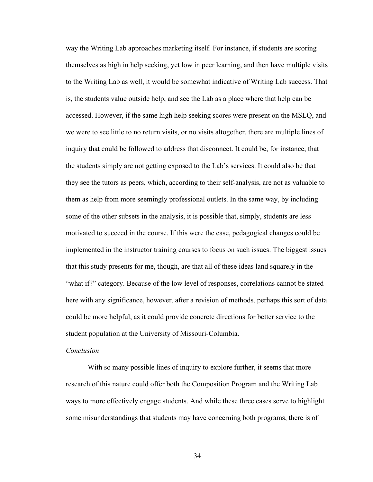way the Writing Lab approaches marketing itself. For instance, if students are scoring themselves as high in help seeking, yet low in peer learning, and then have multiple visits to the Writing Lab as well, it would be somewhat indicative of Writing Lab success. That is, the students value outside help, and see the Lab as a place where that help can be accessed. However, if the same high help seeking scores were present on the MSLQ, and we were to see little to no return visits, or no visits altogether, there are multiple lines of inquiry that could be followed to address that disconnect. It could be, for instance, that the students simply are not getting exposed to the Lab's services. It could also be that they see the tutors as peers, which, according to their self-analysis, are not as valuable to them as help from more seemingly professional outlets. In the same way, by including some of the other subsets in the analysis, it is possible that, simply, students are less motivated to succeed in the course. If this were the case, pedagogical changes could be implemented in the instructor training courses to focus on such issues. The biggest issues that this study presents for me, though, are that all of these ideas land squarely in the "what if?" category. Because of the low level of responses, correlations cannot be stated here with any significance, however, after a revision of methods, perhaps this sort of data could be more helpful, as it could provide concrete directions for better service to the student population at the University of Missouri-Columbia.

#### *Conclusion*

With so many possible lines of inquiry to explore further, it seems that more research of this nature could offer both the Composition Program and the Writing Lab ways to more effectively engage students. And while these three cases serve to highlight some misunderstandings that students may have concerning both programs, there is of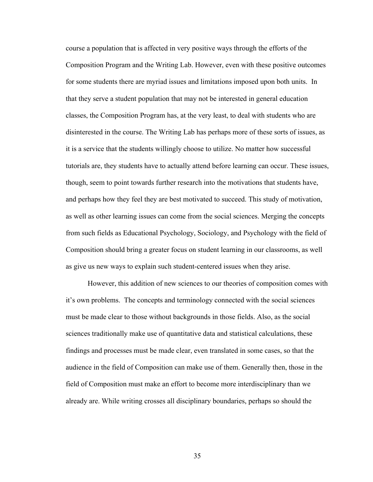course a population that is affected in very positive ways through the efforts of the Composition Program and the Writing Lab. However, even with these positive outcomes for some students there are myriad issues and limitations imposed upon both units. In that they serve a student population that may not be interested in general education classes, the Composition Program has, at the very least, to deal with students who are disinterested in the course. The Writing Lab has perhaps more of these sorts of issues, as it is a service that the students willingly choose to utilize. No matter how successful tutorials are, they students have to actually attend before learning can occur. These issues, though, seem to point towards further research into the motivations that students have, and perhaps how they feel they are best motivated to succeed. This study of motivation, as well as other learning issues can come from the social sciences. Merging the concepts from such fields as Educational Psychology, Sociology, and Psychology with the field of Composition should bring a greater focus on student learning in our classrooms, as well as give us new ways to explain such student-centered issues when they arise.

However, this addition of new sciences to our theories of composition comes with it's own problems. The concepts and terminology connected with the social sciences must be made clear to those without backgrounds in those fields. Also, as the social sciences traditionally make use of quantitative data and statistical calculations, these findings and processes must be made clear, even translated in some cases, so that the audience in the field of Composition can make use of them. Generally then, those in the field of Composition must make an effort to become more interdisciplinary than we already are. While writing crosses all disciplinary boundaries, perhaps so should the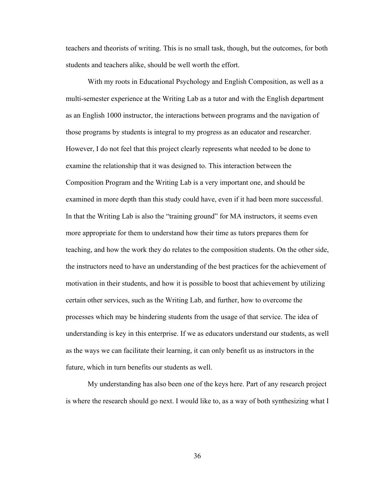teachers and theorists of writing. This is no small task, though, but the outcomes, for both students and teachers alike, should be well worth the effort.

With my roots in Educational Psychology and English Composition, as well as a multi-semester experience at the Writing Lab as a tutor and with the English department as an English 1000 instructor, the interactions between programs and the navigation of those programs by students is integral to my progress as an educator and researcher. However, I do not feel that this project clearly represents what needed to be done to examine the relationship that it was designed to. This interaction between the Composition Program and the Writing Lab is a very important one, and should be examined in more depth than this study could have, even if it had been more successful. In that the Writing Lab is also the "training ground" for MA instructors, it seems even more appropriate for them to understand how their time as tutors prepares them for teaching, and how the work they do relates to the composition students. On the other side, the instructors need to have an understanding of the best practices for the achievement of motivation in their students, and how it is possible to boost that achievement by utilizing certain other services, such as the Writing Lab, and further, how to overcome the processes which may be hindering students from the usage of that service. The idea of understanding is key in this enterprise. If we as educators understand our students, as well as the ways we can facilitate their learning, it can only benefit us as instructors in the future, which in turn benefits our students as well.

My understanding has also been one of the keys here. Part of any research project is where the research should go next. I would like to, as a way of both synthesizing what I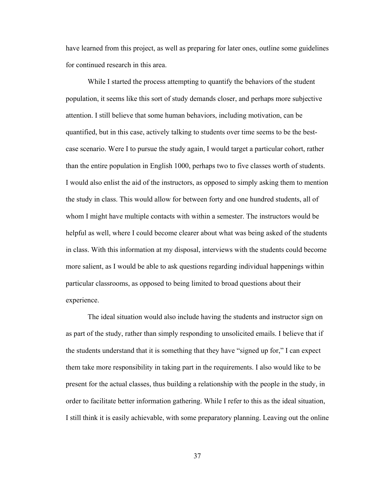have learned from this project, as well as preparing for later ones, outline some guidelines for continued research in this area.

While I started the process attempting to quantify the behaviors of the student population, it seems like this sort of study demands closer, and perhaps more subjective attention. I still believe that some human behaviors, including motivation, can be quantified, but in this case, actively talking to students over time seems to be the bestcase scenario. Were I to pursue the study again, I would target a particular cohort, rather than the entire population in English 1000, perhaps two to five classes worth of students. I would also enlist the aid of the instructors, as opposed to simply asking them to mention the study in class. This would allow for between forty and one hundred students, all of whom I might have multiple contacts with within a semester. The instructors would be helpful as well, where I could become clearer about what was being asked of the students in class. With this information at my disposal, interviews with the students could become more salient, as I would be able to ask questions regarding individual happenings within particular classrooms, as opposed to being limited to broad questions about their experience.

The ideal situation would also include having the students and instructor sign on as part of the study, rather than simply responding to unsolicited emails. I believe that if the students understand that it is something that they have "signed up for," I can expect them take more responsibility in taking part in the requirements. I also would like to be present for the actual classes, thus building a relationship with the people in the study, in order to facilitate better information gathering. While I refer to this as the ideal situation, I still think it is easily achievable, with some preparatory planning. Leaving out the online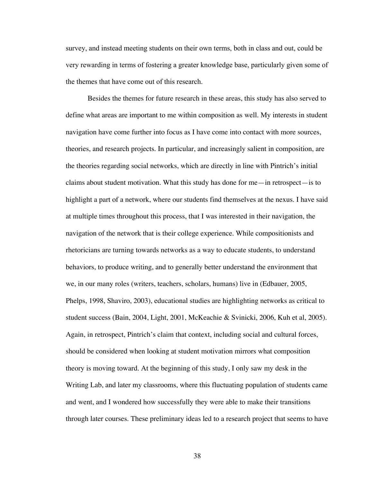survey, and instead meeting students on their own terms, both in class and out, could be very rewarding in terms of fostering a greater knowledge base, particularly given some of the themes that have come out of this research.

Besides the themes for future research in these areas, this study has also served to define what areas are important to me within composition as well. My interests in student navigation have come further into focus as I have come into contact with more sources, theories, and research projects. In particular, and increasingly salient in composition, are the theories regarding social networks, which are directly in line with Pintrich's initial claims about student motivation. What this study has done for me—in retrospect—is to highlight a part of a network, where our students find themselves at the nexus. I have said at multiple times throughout this process, that I was interested in their navigation, the navigation of the network that is their college experience. While compositionists and rhetoricians are turning towards networks as a way to educate students, to understand behaviors, to produce writing, and to generally better understand the environment that we, in our many roles (writers, teachers, scholars, humans) live in (Edbauer, 2005, Phelps, 1998, Shaviro, 2003), educational studies are highlighting networks as critical to student success (Bain, 2004, Light, 2001, McKeachie & Svinicki, 2006, Kuh et al, 2005). Again, in retrospect, Pintrich's claim that context, including social and cultural forces, should be considered when looking at student motivation mirrors what composition theory is moving toward. At the beginning of this study, I only saw my desk in the Writing Lab, and later my classrooms, where this fluctuating population of students came and went, and I wondered how successfully they were able to make their transitions through later courses. These preliminary ideas led to a research project that seems to have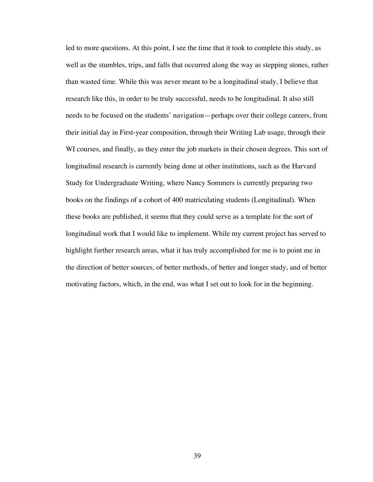led to more questions. At this point, I see the time that it took to complete this study, as well as the stumbles, trips, and falls that occurred along the way as stepping stones, rather than wasted time. While this was never meant to be a longitudinal study, I believe that research like this, in order to be truly successful, needs to be longitudinal. It also still needs to be focused on the students' navigation—perhaps over their college careers, from their initial day in First-year composition, through their Writing Lab usage, through their WI courses, and finally, as they enter the job markets in their chosen degrees. This sort of longitudinal research is currently being done at other institutions, such as the Harvard Study for Undergraduate Writing, where Nancy Sommers is currently preparing two books on the findings of a cohort of 400 matriculating students (Longitudinal). When these books are published, it seems that they could serve as a template for the sort of longitudinal work that I would like to implement. While my current project has served to highlight further research areas, what it has truly accomplished for me is to point me in the direction of better sources, of better methods, of better and longer study, and of better motivating factors, which, in the end, was what I set out to look for in the beginning.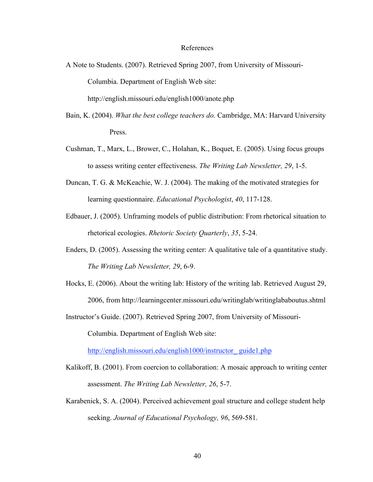#### References

A Note to Students. (2007). Retrieved Spring 2007, from University of Missouri-Columbia. Department of English Web site:

http://english.missouri.edu/english1000/anote.php

- Bain, K. (2004). *What the best college teachers do.* Cambridge, MA: Harvard University Press.
- Cushman, T., Marx, L., Brower, C., Holahan, K., Boquet, E. (2005). Using focus groups to assess writing center effectiveness. *The Writing Lab Newsletter, 29*, 1-5.
- Duncan, T. G. & McKeachie, W. J. (2004). The making of the motivated strategies for learning questionnaire. *Educational Psychologist*, *40*, 117-128.
- Edbauer, J. (2005). Unframing models of public distribution: From rhetorical situation to rhetorical ecologies. *Rhetoric Society Quarterly*, *35*, 5-24.
- Enders, D. (2005). Assessing the writing center: A qualitative tale of a quantitative study. *The Writing Lab Newsletter, 29*, 6-9.
- Hocks, E. (2006). About the writing lab: History of the writing lab. Retrieved August 29, 2006, from http://learningcenter.missouri.edu/writinglab/writinglababoutus.shtml
- Instructor's Guide. (2007). Retrieved Spring 2007, from University of Missouri-

Columbia. Department of English Web site:

http://english.missouri.edu/english1000/instructor\_guide1.php

- Kalikoff, B. (2001). From coercion to collaboration: A mosaic approach to writing center assessment. *The Writing Lab Newsletter, 26*, 5-7.
- Karabenick, S. A. (2004). Perceived achievement goal structure and college student help seeking. *Journal of Educational Psychology, 96*, 569-581.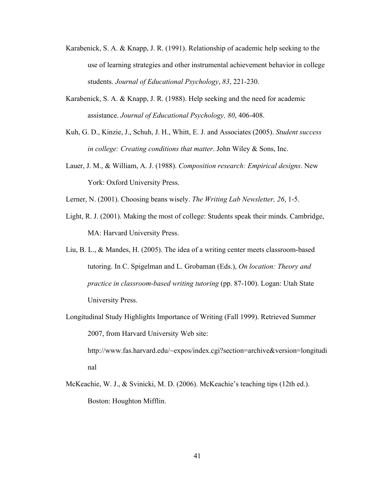- Karabenick, S. A. & Knapp, J. R. (1991). Relationship of academic help seeking to the use of learning strategies and other instrumental achievement behavior in college students. *Journal of Educational Psychology*, *83*, 221-230.
- Karabenick, S. A. & Knapp, J. R. (1988). Help seeking and the need for academic assistance. *Journal of Educational Psychology, 80*, 406-408.
- Kuh, G. D., Kinzie, J., Schuh, J. H., Whitt, E. J. and Associates (2005). *Student success in college: Creating conditions that matter*. John Wiley & Sons, Inc.
- Lauer, J. M., & William, A. J. (1988). *Composition research: Empirical designs*. New York: Oxford University Press.
- Lerner, N. (2001). Choosing beans wisely. *The Writing Lab Newsletter, 26*, 1-5.
- Light, R. J. (2001). Making the most of college: Students speak their minds. Cambridge, MA: Harvard University Press.
- Liu, B. L., & Mandes, H. (2005). The idea of a writing center meets classroom-based tutoring. In C. Spigelman and L. Grobaman (Eds.), *On location: Theory and practice in classroom-based writing tutoring* (pp. 87-100). Logan: Utah State University Press.
- Longitudinal Study Highlights Importance of Writing (Fall 1999). Retrieved Summer 2007, from Harvard University Web site:

http://www.fas.harvard.edu/~expos/index.cgi?section=archive&version=longitudi nal

McKeachie, W. J., & Svinicki, M. D. (2006). McKeachie's teaching tips (12th ed.). Boston: Houghton Mifflin.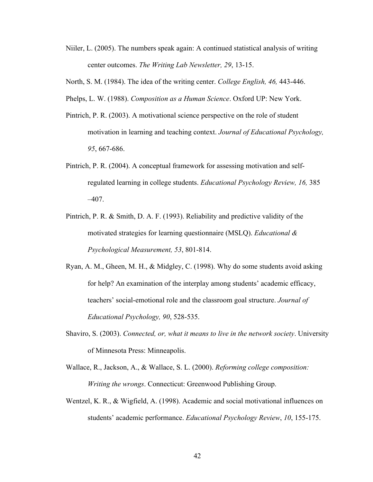- Niiler, L. (2005). The numbers speak again: A continued statistical analysis of writing center outcomes. *The Writing Lab Newsletter, 29*, 13-15.
- North, S. M. (1984). The idea of the writing center. *College English, 46,* 443-446.
- Phelps, L. W. (1988). *Composition as a Human Science*. Oxford UP: New York.
- Pintrich, P. R. (2003). A motivational science perspective on the role of student motivation in learning and teaching context. *Journal of Educational Psychology, 95*, 667-686.
- Pintrich, P. R. (2004). A conceptual framework for assessing motivation and selfregulated learning in college students. *Educational Psychology Review, 16,* 385  $-407.$
- Pintrich, P. R. & Smith, D. A. F. (1993). Reliability and predictive validity of the motivated strategies for learning questionnaire (MSLQ). *Educational & Psychological Measurement, 53*, 801-814.
- Ryan, A. M., Gheen, M. H., & Midgley, C. (1998). Why do some students avoid asking for help? An examination of the interplay among students' academic efficacy, teachers' social-emotional role and the classroom goal structure. *Journal of Educational Psychology, 90*, 528-535.
- Shaviro, S. (2003). *Connected, or, what it means to live in the network society*. University of Minnesota Press: Minneapolis.
- Wallace, R., Jackson, A., & Wallace, S. L. (2000). *Reforming college composition: Writing the wrongs*. Connecticut: Greenwood Publishing Group.
- Wentzel, K. R., & Wigfield, A. (1998). Academic and social motivational influences on students' academic performance. *Educational Psychology Review*, *10*, 155-175.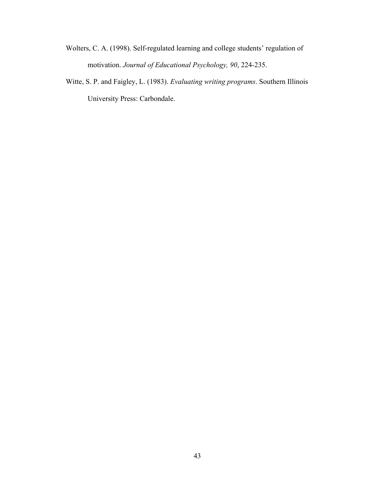- Wolters, C. A. (1998). Self-regulated learning and college students' regulation of motivation. *Journal of Educational Psychology, 90*, 224-235.
- Witte, S. P. and Faigley, L. (1983). *Evaluating writing programs*. Southern Illinois University Press: Carbondale.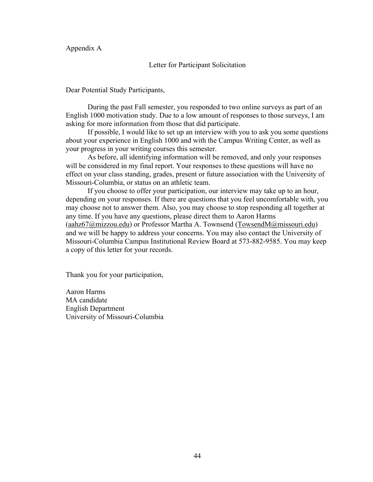Appendix A

Letter for Participant Solicitation

Dear Potential Study Participants,

During the past Fall semester, you responded to two online surveys as part of an English 1000 motivation study. Due to a low amount of responses to those surveys, I am asking for more information from those that did participate.

If possible, I would like to set up an interview with you to ask you some questions about your experience in English 1000 and with the Campus Writing Center, as well as your progress in your writing courses this semester.

As before, all identifying information will be removed, and only your responses will be considered in my final report. Your responses to these questions will have no effect on your class standing, grades, present or future association with the University of Missouri-Columbia, or status on an athletic team.

If you choose to offer your participation, our interview may take up to an hour, depending on your responses. If there are questions that you feel uncomfortable with, you may choose not to answer them. Also, you may choose to stop responding all together at any time. If you have any questions, please direct them to Aaron Harms (aahz67@mizzou.edu) or Professor Martha A. Townsend (TowsendM@missouri.edu) and we will be happy to address your concerns. You may also contact the University of Missouri-Columbia Campus Institutional Review Board at 573-882-9585. You may keep a copy of this letter for your records.

Thank you for your participation,

Aaron Harms MA candidate English Department University of Missouri-Columbia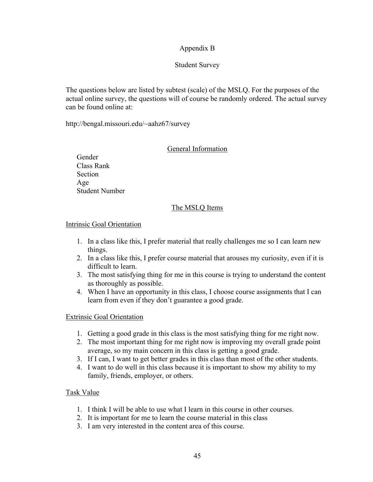## Appendix B

## Student Survey

The questions below are listed by subtest (scale) of the MSLQ. For the purposes of the actual online survey, the questions will of course be randomly ordered. The actual survey can be found online at:

http://bengal.missouri.edu/~aahz67/survey

## General Information

Gender Class Rank Section Age Student Number

## The MSLQ Items

### Intrinsic Goal Orientation

- 1. In a class like this, I prefer material that really challenges me so I can learn new things.
- 2. In a class like this, I prefer course material that arouses my curiosity, even if it is difficult to learn.
- 3. The most satisfying thing for me in this course is trying to understand the content as thoroughly as possible.
- 4. When I have an opportunity in this class, I choose course assignments that I can learn from even if they don't guarantee a good grade.

## Extrinsic Goal Orientation

- 1. Getting a good grade in this class is the most satisfying thing for me right now.
- 2. The most important thing for me right now is improving my overall grade point average, so my main concern in this class is getting a good grade.
- 3. If I can, I want to get better grades in this class than most of the other students.
- 4. I want to do well in this class because it is important to show my ability to my family, friends, employer, or others.

## Task Value

- 1. I think I will be able to use what I learn in this course in other courses.
- 2. It is important for me to learn the course material in this class
- 3. I am very interested in the content area of this course.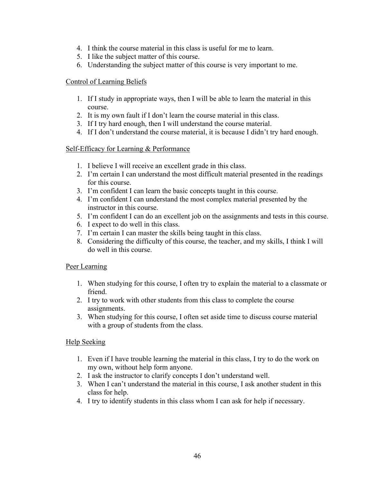- 4. I think the course material in this class is useful for me to learn.
- 5. I like the subject matter of this course.
- 6. Understanding the subject matter of this course is very important to me.

### Control of Learning Beliefs

- 1. If I study in appropriate ways, then I will be able to learn the material in this course.
- 2. It is my own fault if I don't learn the course material in this class.
- 3. If I try hard enough, then I will understand the course material.
- 4. If I don't understand the course material, it is because I didn't try hard enough.

## Self-Efficacy for Learning & Performance

- 1. I believe I will receive an excellent grade in this class.
- 2. I'm certain I can understand the most difficult material presented in the readings for this course.
- 3. I'm confident I can learn the basic concepts taught in this course.
- 4. I'm confident I can understand the most complex material presented by the instructor in this course.
- 5. I'm confident I can do an excellent job on the assignments and tests in this course.
- 6. I expect to do well in this class.
- 7. I'm certain I can master the skills being taught in this class.
- 8. Considering the difficulty of this course, the teacher, and my skills, I think I will do well in this course.

## Peer Learning

- 1. When studying for this course, I often try to explain the material to a classmate or friend.
- 2. I try to work with other students from this class to complete the course assignments.
- 3. When studying for this course, I often set aside time to discuss course material with a group of students from the class.

## Help Seeking

- 1. Even if I have trouble learning the material in this class, I try to do the work on my own, without help form anyone.
- 2. I ask the instructor to clarify concepts I don't understand well.
- 3. When I can't understand the material in this course, I ask another student in this class for help.
- 4. I try to identify students in this class whom I can ask for help if necessary.